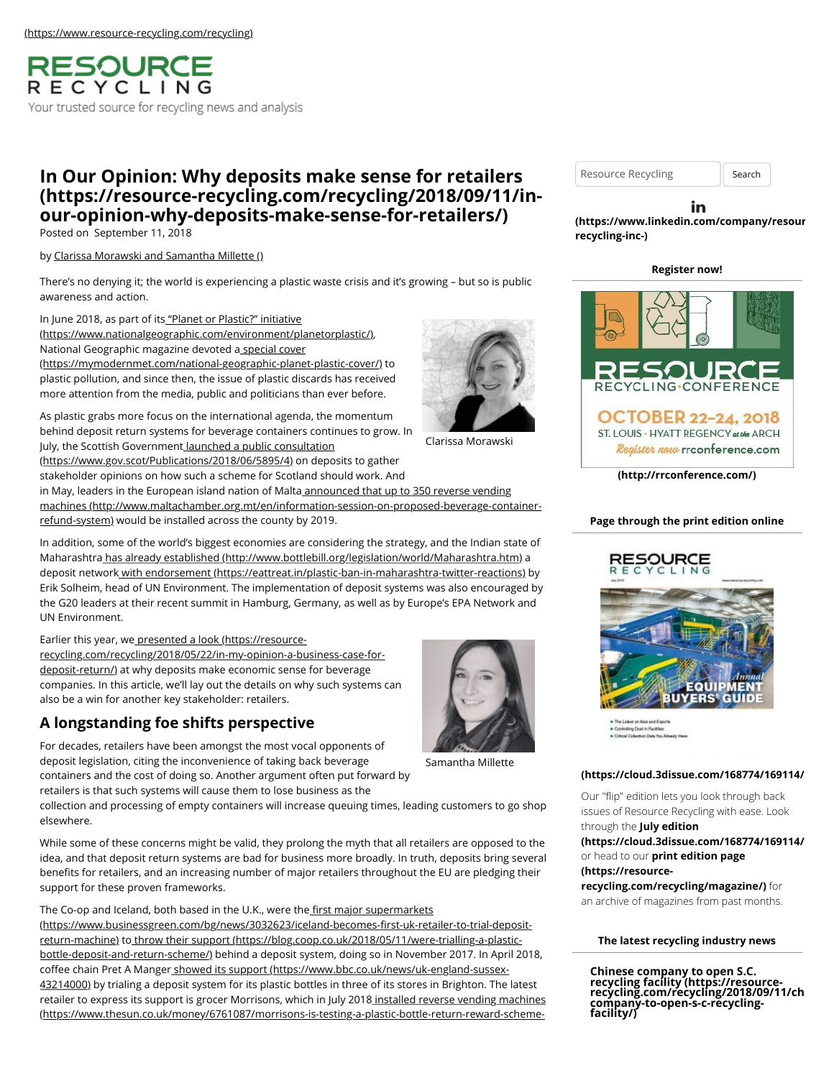**RESOURCE** RECYCLING Your trusted source for recycling news and analysis

# **In Our Opinion: Why deposits make sense for retailers [\(https://resource-recycling.com/recycling/2018/09/11/in](https://resource-recycling.com/recycling/2018/09/11/in-our-opinion-why-deposits-make-sense-for-retailers/)our-opinion-why-deposits-make-sense-for-retailers/)**

Posted on September 11, 2018

by [Clarissa Morawski and Samantha Millette \(\)](https://resource-recycling.com/recycling/2018/09/11/in-our-opinion-why-deposits-make-sense-for-retailers/)

There's no denying it; the world is experiencing a plastic waste crisis and it's growing – but so is public awareness and action.

In June 2018, as part of its "Planet or Plastic?" initiative [\(https://www.nationalgeographic.com/environment/planetorplastic/\)](https://www.nationalgeographic.com/environment/planetorplastic/), National Geographic magazine devoted a special cover [\(https://mymodernmet.com/national-geographic-planet-plastic-cover/\)](https://mymodernmet.com/national-geographic-planet-plastic-cover/) to plastic pollution, and since then, the issue of plastic discards has received more attention from the media, public and politicians than ever before.

As plastic grabs more focus on the international agenda, the momentum behind deposit return systems for beverage containers continues to grow. In July, the Scottish Government launched a public consultation [\(https://www.gov.scot/Publications/2018/06/5895/4\) on depo](https://www.gov.scot/Publications/2018/06/5895/4)sits to gather

stakeholder opinions on how such a scheme for Scotland should work. And

in May, leaders in the European island nation of Malta announced that up to 350 reverse vending [machines \(http://www.maltachamber.org.mt/en/information-session-on-proposed-beverage-container](http://www.maltachamber.org.mt/en/information-session-on-proposed-beverage-container-refund-system)refund-system) would be installed across the county by 2019.

In addition, some of the world's biggest economies are considering the strategy, and the Indian state of Maharashtr[a has already established \(http://www.bottlebill.org/legislation/world/Maharashtra.htm\)](http://www.bottlebill.org/legislation/world/Maharashtra.htm) a deposit networ[k with endorsement \(https://eattreat.in/plastic-ban-in-maharashtra-twitter-reactions\)](https://eattreat.in/plastic-ban-in-maharashtra-twitter-reactions) by Erik Solheim, head of UN Environment. The implementation of deposit systems was also encouraged by the G20 leaders at their recent summit in Hamburg, Germany, as well as by Europe's EPA Network and UN Environment.

Earlier this year, we presented a look (https://resource-

[recycling.com/recycling/2018/05/22/in-my-opinion-a-business-case-for](https://resource-recycling.com/recycling/2018/05/22/in-my-opinion-a-business-case-for-deposit-return/)deposit-return/) at why deposits make economic sense for beverage companies. In this article, we'll lay out the details on why such systems can also be a win for another key stakeholder: retailers.

# **A longstanding foe shifts perspective**

For decades, retailers have been amongst the most vocal opponents of deposit legislation, citing the inconvenience of taking back beverage containers and the cost of doing so. Another argument often put forward by retailers is that such systems will cause them to lose business as the

collection and processing of empty containers will increase queuing times, leading customers to go shop elsewhere.

While some of these concerns might be valid, they prolong the myth that all retailers are opposed to the idea, and that deposit return systems are bad for business more broadly. In truth, deposits bring several benefits for retailers, and an increasing number of major retailers throughout the EU are pledging their support for these proven frameworks.

The Co-op and Iceland, both based in the U.K., were the first major supermarkets (https://www.businessgreen.com/bg/news/3032623/iceland-becomes-first-uk-retailer-to-trial-deposit[return-machine\) to throw their support \(https://blog.coop.co.uk/2018/05/11/were-trialling-a-plastic](https://www.businessgreen.com/bg/news/3032623/iceland-becomes-first-uk-retailer-to-trial-deposit-return-machine)bottle-deposit-and-return-scheme/) behind a deposit system, doing so in November 2017. In April 2018, coffee chain Pret A Manger showed its support (https://www.bbc.co.uk/news/uk-england-sussex-[43214000\) by trialing a deposit system for its plastic bottles in three of its stores in Brighton. The](https://www.bbc.co.uk/news/uk-england-sussex-43214000) latest [retailer to express its support is grocer Morrisons, which in July 2018 installed reverse vending machines](https://www.thesun.co.uk/money/6761087/morrisons-is-testing-a-plastic-bottle-return-reward-scheme-in-some-stores/) (https://www.thesun.co.uk/money/6761087/morrisons-is-testing-a-plastic-bottle-return-reward-schemeResource Recycling | Search

### in **[\(https://www.linkedin.com/company/resour](https://www.linkedin.com/company/resource-recycling-inc-)cerecycling-inc-)**

### **Register now!**



**[\(http://rrconference.com/\)](http://rrconference.com/)**

## **Page through the print edition online**



he Latier on Asia and Exp<br>Jorkvilling Dust in Facilities

## **[\(https://cloud.3dissue.com/168774/169114/1](https://cloud.3dissue.com/168774/169114/197590/RR0618/index.html)97590/RR0618/index.html)**

Our "flip" edition lets you look through back issues of Resource Recycling with ease. Look through the **July edition**

**[\(https://cloud.3dissue.com/168774/169114/1](https://cloud.3dissue.com/168774/169114/197590/RR0718/index.html)97590/RR0718/index.html)** or head to our **print edition page (https://resource-**

**[recycling.com/recycling/magazine/\)](https://resource-recycling.com/recycling/magazine/)** for an archive of magazines from past months.

### **The latest recycling industry news**

**Chinese company to open S.C. recycling facility (https://resource- [recycling.com/recycling/2018/09/11/chi](https://resource-recycling.com/recycling/2018/09/11/chinese-company-to-open-s-c-recycling-facility/)nesecompany-to-open-s-c-recyclingfacility/)**



Samantha Millette



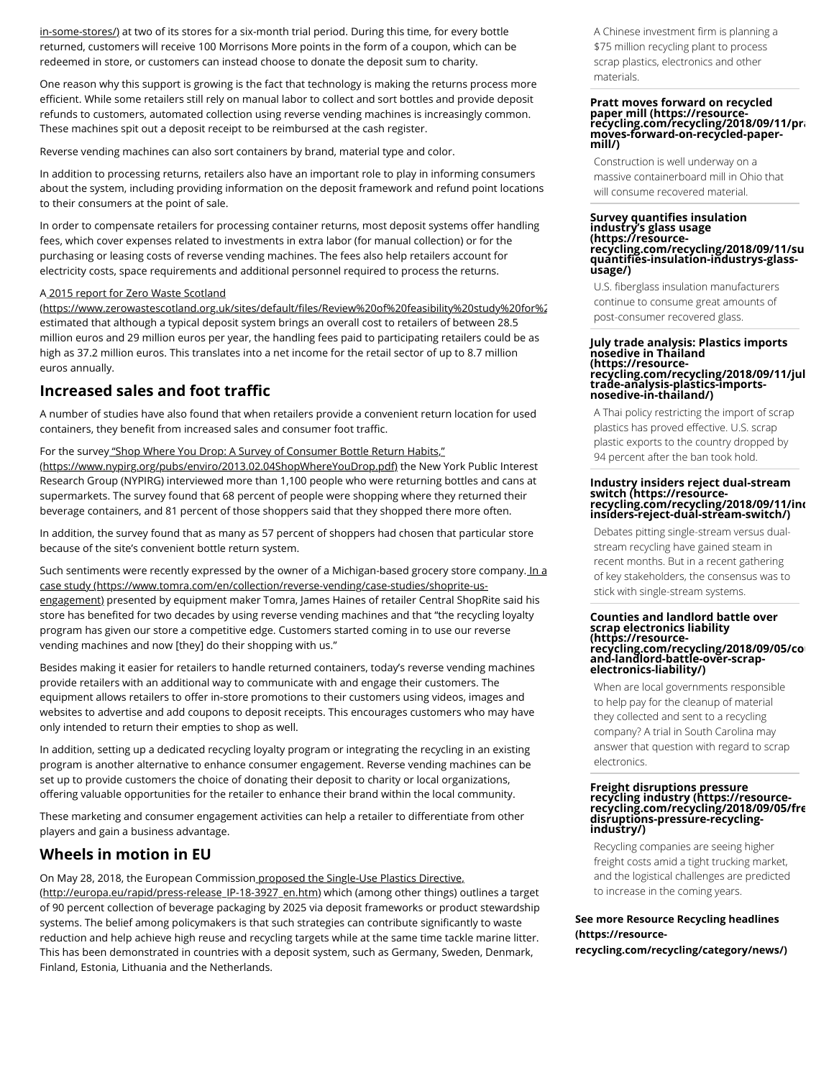[in-some-stores/\) at two of its stores for a six-month trial period. During this time, for every bottle](https://www.thesun.co.uk/money/6761087/morrisons-is-testing-a-plastic-bottle-return-reward-scheme-in-some-stores/) returned, customers will receive 100 Morrisons More points in the form of a coupon, which can be redeemed in store, or customers can instead choose to donate the deposit sum to charity.

One reason why this support is growing is the fact that technology is making the returns process more efficient. While some retailers still rely on manual labor to collect and sort bottles and provide deposit refunds to customers, automated collection using reverse vending machines is increasingly common. These machines spit out a deposit receipt to be reimbursed at the cash register.

Reverse vending machines can also sort containers by brand, material type and color.

In addition to processing returns, retailers also have an important role to play in informing consumers about the system, including providing information on the deposit framework and refund point locations to their consumers at the point of sale.

In order to compensate retailers for processing container returns, most deposit systems offer handling fees, which cover expenses related to investments in extra labor (for manual collection) or for the purchasing or leasing costs of reverse vending machines. The fees also help retailers account for electricity costs, space requirements and additional personnel required to process the returns.

#### A 2015 report for Zero Waste Scotland

[\(https://www.zerowastescotland.org.uk/sites/default/](https://www.zerowastescotland.org.uk/sites/default/files/Review%20of%20feasibility%20study%20for%20a%20Deposit%20Return%20System%20for%20Drinks%20Containers.pdf)files/Review%20of%20feasibility%20study%20for%2 estimated that although a typical deposit system brings an overall cost to retailers of between 28.5 million euros and 29 million euros per year, the handling fees paid to participating retailers could be as high as 37.2 million euros. This translates into a net income for the retail sector of up to 8.7 million euros annually.

## **Increased sales and foot traffic**

A number of studies have also found that when retailers provide a convenient return location for used containers, they benefit from increased sales and consumer foot traffic.

For the survey "Shop Where You Drop: A Survey of Consumer Bottle Return Habits," [\(https://www.nypirg.org/pubs/enviro/2013.02.04ShopWhereYouDrop.pdf\) the New Y](https://www.nypirg.org/pubs/enviro/2013.02.04ShopWhereYouDrop.pdf)ork Public Interest Research Group (NYPIRG) interviewed more than 1,100 people who were returning bottles and cans at supermarkets. The survey found that 68 percent of people were shopping where they returned their beverage containers, and 81 percent of those shoppers said that they shopped there more often.

In addition, the survey found that as many as 57 percent of shoppers had chosen that particular store because of the site's convenient bottle return system.

[Such sentiments were recently expressed by the owner of a Michigan-based grocery store company. In a](https://www.tomra.com/en/collection/reverse-vending/case-studies/shoprite-us-engagement) case study (https://www.tomra.com/en/collection/reverse-vending/case-studies/shoprite-usengagement) presented by equipment maker Tomra, James Haines of retailer Central ShopRite said his store has benefited for two decades by using reverse vending machines and that "the recycling loyalty program has given our store a competitive edge. Customers started coming in to use our reverse vending machines and now [they] do their shopping with us."

Besides making it easier for retailers to handle returned containers, today's reverse vending machines provide retailers with an additional way to communicate with and engage their customers. The equipment allows retailers to offer in-store promotions to their customers using videos, images and websites to advertise and add coupons to deposit receipts. This encourages customers who may have only intended to return their empties to shop as well.

In addition, setting up a dedicated recycling loyalty program or integrating the recycling in an existing program is another alternative to enhance consumer engagement. Reverse vending machines can be set up to provide customers the choice of donating their deposit to charity or local organizations, offering valuable opportunities for the retailer to enhance their brand within the local community.

These marketing and consumer engagement activities can help a retailer to differentiate from other players and gain a business advantage.

## **Wheels in motion in EU**

[On May 28, 2018, the European Commission proposed the Single-Use Plastics Directive,](http://europa.eu/rapid/press-release_IP-18-3927_en.htm) (http://europa.eu/rapid/press-release\_IP-18-3927\_en.htm) which (among other things) outlines a target of 90 percent collection of beverage packaging by 2025 via deposit frameworks or product stewardship systems. The belief among policymakers is that such strategies can contribute significantly to waste reduction and help achieve high reuse and recycling targets while at the same time tackle marine litter. This has been demonstrated in countries with a deposit system, such as Germany, Sweden, Denmark, Finland, Estonia, Lithuania and the Netherlands.

A Chinese investment firm is planning a \$75 million recycling plant to process scrap plastics, electronics and other materials.

# **Pratt moves forward on recycled** paper mill (https://resource-̄<br>[recycling.com/recycling/2018/09/11/pra](https://resource-recycling.com/recycling/2018/09/11/pratt-moves-forward-on-recycled-paper-mill/)<br>moves-forward-on-recycled-paper**mill/)**

Construction is well underway on a massive containerboard mill in Ohio that will consume recovered material.

# **Survey quantifies insulation industry's glass usage (https://resource**recycling.com/recycling/2018/09/11/su<br>quantifies-insulation-industrys-glass-<br>usage/)

U.S. fiberglass insulation manufacturers continue to consume great amounts of post-consumer recovered glass.

#### **July trade analysis: Plastics imports nosedive in Thailand (https://resource[recycling.com/recycling/2018/09/11/jul](https://resource-recycling.com/recycling/2018/09/11/july-trade-analysis-plastics-imports-nosedive-in-thailand/)y-trade-analysis-plastics-importsnosedive-in-thailand/)**

A Thai policy restricting the import of scrap plastics has proved effective. U.S. scrap plastic exports to the country dropped by 94 percent after the ban took hold.

# **Industry insiders reject dual-stream switch (https://resource- [recycling.com/recycling/2018/09/11/ind](https://resource-recycling.com/recycling/2018/09/11/industry-insiders-reject-dual-stream-switch/)ustry-insiders-reject-dual-stream-switch/)**

Debates pitting single-stream versus dualstream recycling have gained steam in recent months. But in a recent gathering of key stakeholders, the consensus was to stick with single-stream systems.

#### **Counties and landlord battle over scrap electronics liability (https://resource**recycling.com/recycling/2018/09/05/co<br>and-landlord-battle-over-scrap**electronics-liability/)**

When are local governments responsible to help pay for the cleanup of material they collected and sent to a recycling company? A trial in South Carolina may answer that question with regard to scrap electronics.

### **Freight disruptions pressure recycling industry (https://resource- [recycling.com/recycling/2018/09/05/fre](https://resource-recycling.com/recycling/2018/09/05/freight-disruptions-pressure-recycling-industry/)ightdisruptions-pressure-recyclingindustry/)**

Recycling companies are seeing higher freight costs amid a tight trucking market, and the logistical challenges are predicted to increase in the coming years.

## **See more Resource Recycling headlines (https://resource-**

**[recycling.com/recycling/category/news/\)](https://resource-recycling.com/recycling/category/news/)**